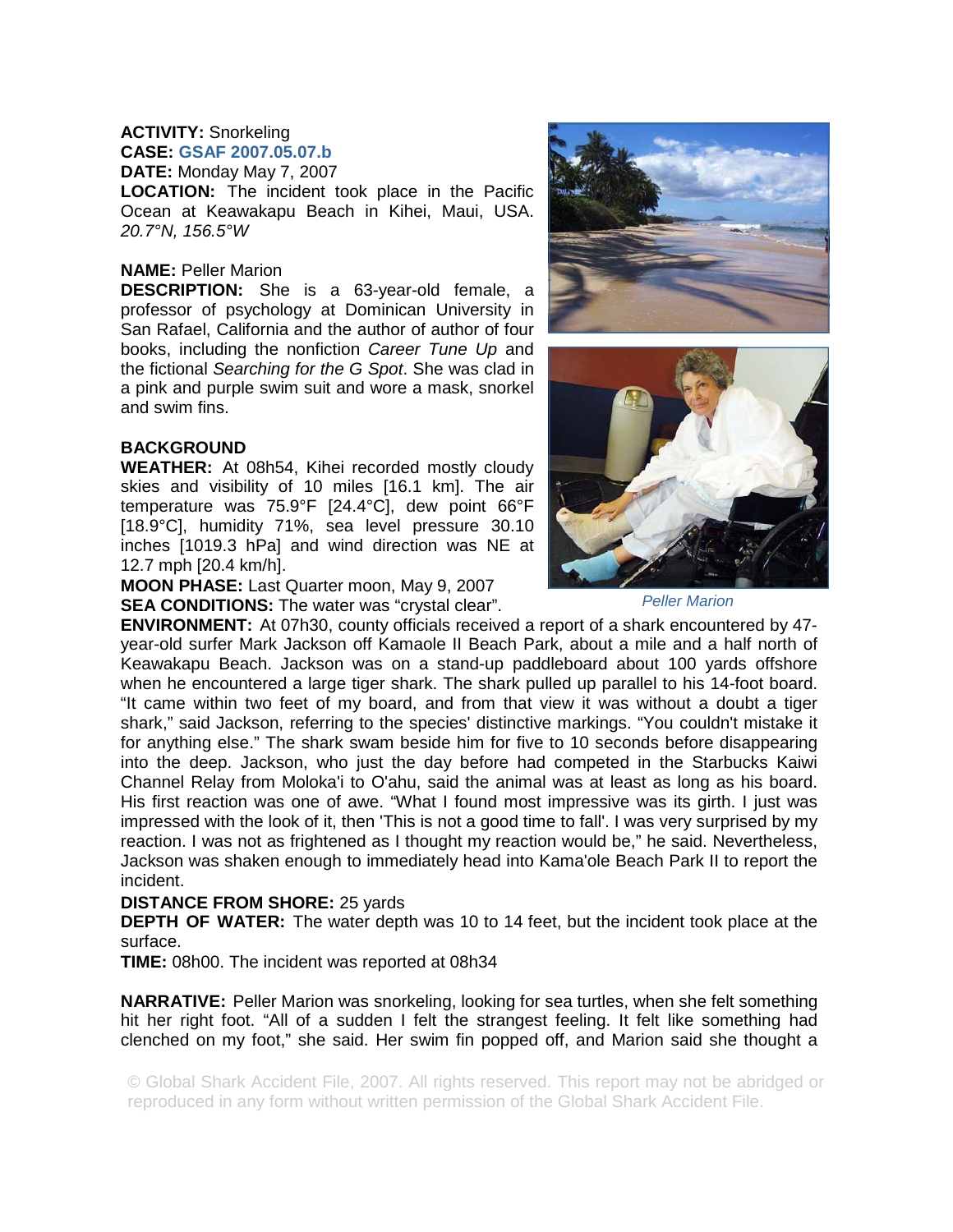## **ACTIVITY:** Snorkeling

**CASE: GSAF 2007.05.07.b DATE:** Monday May 7, 2007

**LOCATION:** The incident took place in the Pacific Ocean at Keawakapu Beach in Kihei, Maui, USA. *20.7°N, 156.5°W* 

## **NAME:** Peller Marion

**DESCRIPTION:** She is a 63-year-old female, a professor of psychology at Dominican University in San Rafael, California and the author of author of four books, including the nonfiction *Career Tune Up* and the fictional *Searching for the G Spot*. She was clad in a pink and purple swim suit and wore a mask, snorkel and swim fins.

## **BACKGROUND**

**WEATHER:** At 08h54, Kihei recorded mostly cloudy skies and visibility of 10 miles [16.1 km]. The air temperature was 75.9°F [24.4°C], dew point 66°F [18.9°C], humidity 71%, sea level pressure 30.10 inches [1019.3 hPa] and wind direction was NE at 12.7 mph [20.4 km/h].

**MOON PHASE:** Last Quarter moon, May 9, 2007

**SEA CONDITIONS:** The water was "crystal clear".





*Peller Marion* 

**ENVIRONMENT:** At 07h30, county officials received a report of a shark encountered by 47 year-old surfer Mark Jackson off Kamaole II Beach Park, about a mile and a half north of Keawakapu Beach. Jackson was on a stand-up paddleboard about 100 yards offshore when he encountered a large tiger shark. The shark pulled up parallel to his 14-foot board. "It came within two feet of my board, and from that view it was without a doubt a tiger shark," said Jackson, referring to the species' distinctive markings. "You couldn't mistake it for anything else." The shark swam beside him for five to 10 seconds before disappearing into the deep. Jackson, who just the day before had competed in the Starbucks Kaiwi Channel Relay from Moloka'i to O'ahu, said the animal was at least as long as his board. His first reaction was one of awe. "What I found most impressive was its girth. I just was impressed with the look of it, then 'This is not a good time to fall'. I was very surprised by my reaction. I was not as frightened as I thought my reaction would be," he said. Nevertheless, Jackson was shaken enough to immediately head into Kama'ole Beach Park II to report the incident.

## **DISTANCE FROM SHORE:** 25 yards

**DEPTH OF WATER:** The water depth was 10 to 14 feet, but the incident took place at the surface.

**TIME:** 08h00. The incident was reported at 08h34

**NARRATIVE:** Peller Marion was snorkeling, looking for sea turtles, when she felt something hit her right foot. "All of a sudden I felt the strangest feeling. It felt like something had clenched on my foot," she said. Her swim fin popped off, and Marion said she thought a

© Global Shark Accident File, 2007. All rights reserved. This report may not be abridged or reproduced in any form without written permission of the Global Shark Accident File.